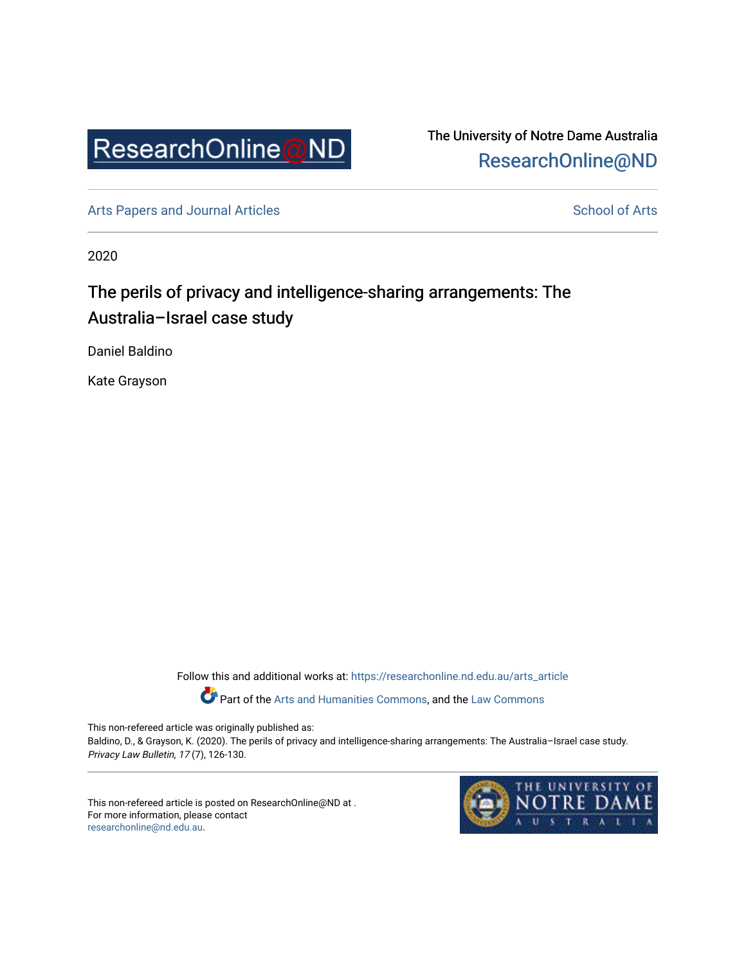

The University of Notre Dame Australia [ResearchOnline@ND](https://researchonline.nd.edu.au/) 

[Arts Papers and Journal Articles](https://researchonline.nd.edu.au/arts_article) and [School of Arts](https://researchonline.nd.edu.au/arts) School of Arts

2020

# The perils of privacy and intelligence-sharing arrangements: The Australia–Israel case study

Daniel Baldino

Kate Grayson

Follow this and additional works at: [https://researchonline.nd.edu.au/arts\\_article](https://researchonline.nd.edu.au/arts_article?utm_source=researchonline.nd.edu.au%2Farts_article%2F173&utm_medium=PDF&utm_campaign=PDFCoverPages) 

Part of the [Arts and Humanities Commons,](http://network.bepress.com/hgg/discipline/438?utm_source=researchonline.nd.edu.au%2Farts_article%2F173&utm_medium=PDF&utm_campaign=PDFCoverPages) and the [Law Commons](http://network.bepress.com/hgg/discipline/578?utm_source=researchonline.nd.edu.au%2Farts_article%2F173&utm_medium=PDF&utm_campaign=PDFCoverPages) 

This non-refereed article was originally published as:

Baldino, D., & Grayson, K. (2020). The perils of privacy and intelligence-sharing arrangements: The Australia–Israel case study. Privacy Law Bulletin, 17 (7), 126-130.

This non-refereed article is posted on ResearchOnline@ND at . For more information, please contact [researchonline@nd.edu.au.](mailto:researchonline@nd.edu.au)

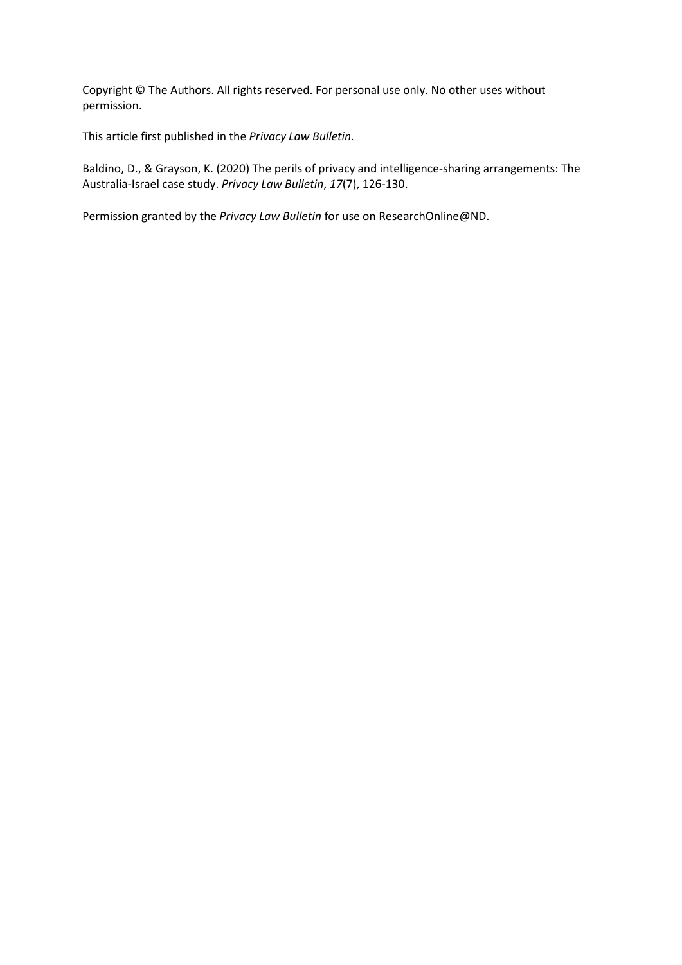Copyright © The Authors. All rights reserved. For personal use only. No other uses without permission.

This article first published in the *Privacy Law Bulletin.*

Baldino, D., & Grayson, K. (2020) The perils of privacy and intelligence-sharing arrangements: The Australia-Israel case study. *Privacy Law Bulletin*, *17*(7), 126-130.

Permission granted by the *Privacy Law Bulletin* for use on ResearchOnline@ND.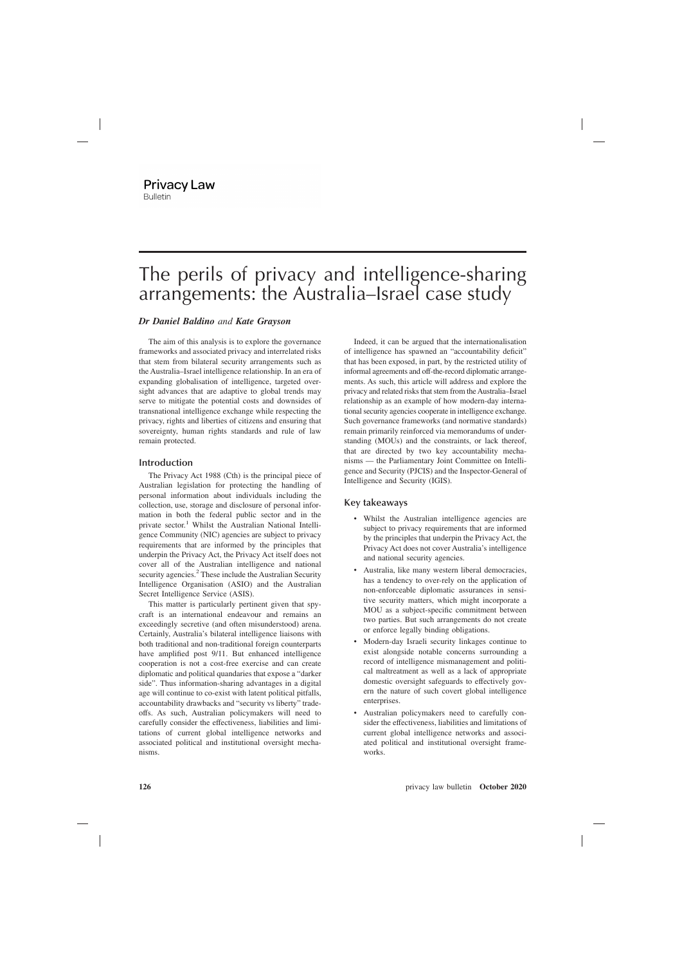# The perils of privacy and intelligence-sharing arrangements: the Australia–Israel case study

# *Dr Daniel Baldino and Kate Grayson*

The aim of this analysis is to explore the governance frameworks and associated privacy and interrelated risks that stem from bilateral security arrangements such as the Australia–Israel intelligence relationship. In an era of expanding globalisation of intelligence, targeted oversight advances that are adaptive to global trends may serve to mitigate the potential costs and downsides of transnational intelligence exchange while respecting the privacy, rights and liberties of citizens and ensuring that sovereignty, human rights standards and rule of law remain protected.

## **Introduction**

The Privacy Act 1988 (Cth) is the principal piece of Australian legislation for protecting the handling of personal information about individuals including the collection, use, storage and disclosure of personal information in both the federal public sector and in the private sector.<sup>1</sup> Whilst the Australian National Intelligence Community (NIC) agencies are subject to privacy requirements that are informed by the principles that underpin the Privacy Act, the Privacy Act itself does not cover all of the Australian intelligence and national security agencies.<sup>2</sup> These include the Australian Security Intelligence Organisation (ASIO) and the Australian Secret Intelligence Service (ASIS).

This matter is particularly pertinent given that spycraft is an international endeavour and remains an exceedingly secretive (and often misunderstood) arena. Certainly, Australia's bilateral intelligence liaisons with both traditional and non-traditional foreign counterparts have amplified post 9/11. But enhanced intelligence cooperation is not a cost-free exercise and can create diplomatic and political quandaries that expose a "darker side". Thus information-sharing advantages in a digital age will continue to co-exist with latent political pitfalls, accountability drawbacks and "security vs liberty" tradeoffs. As such, Australian policymakers will need to carefully consider the effectiveness, liabilities and limitations of current global intelligence networks and associated political and institutional oversight mechanisms.

Indeed, it can be argued that the internationalisation of intelligence has spawned an "accountability deficit" that has been exposed, in part, by the restricted utility of informal agreements and off-the-record diplomatic arrangements. As such, this article will address and explore the privacy and related risks that stem from the Australia–Israel relationship as an example of how modern-day international security agencies cooperate in intelligence exchange. Such governance frameworks (and normative standards) remain primarily reinforced via memorandums of understanding (MOUs) and the constraints, or lack thereof, that are directed by two key accountability mechanisms — the Parliamentary Joint Committee on Intelligence and Security (PJCIS) and the Inspector-General of Intelligence and Security (IGIS).

# **Key takeaways**

- Whilst the Australian intelligence agencies are subject to privacy requirements that are informed by the principles that underpin the Privacy Act, the Privacy Act does not cover Australia's intelligence and national security agencies.
- Australia, like many western liberal democracies, has a tendency to over-rely on the application of non-enforceable diplomatic assurances in sensitive security matters, which might incorporate a MOU as a subject-specific commitment between two parties. But such arrangements do not create or enforce legally binding obligations.
- Modern-day Israeli security linkages continue to exist alongside notable concerns surrounding a record of intelligence mismanagement and political maltreatment as well as a lack of appropriate domestic oversight safeguards to effectively govern the nature of such covert global intelligence enterprises.
- Australian policymakers need to carefully consider the effectiveness, liabilities and limitations of current global intelligence networks and associated political and institutional oversight frameworks.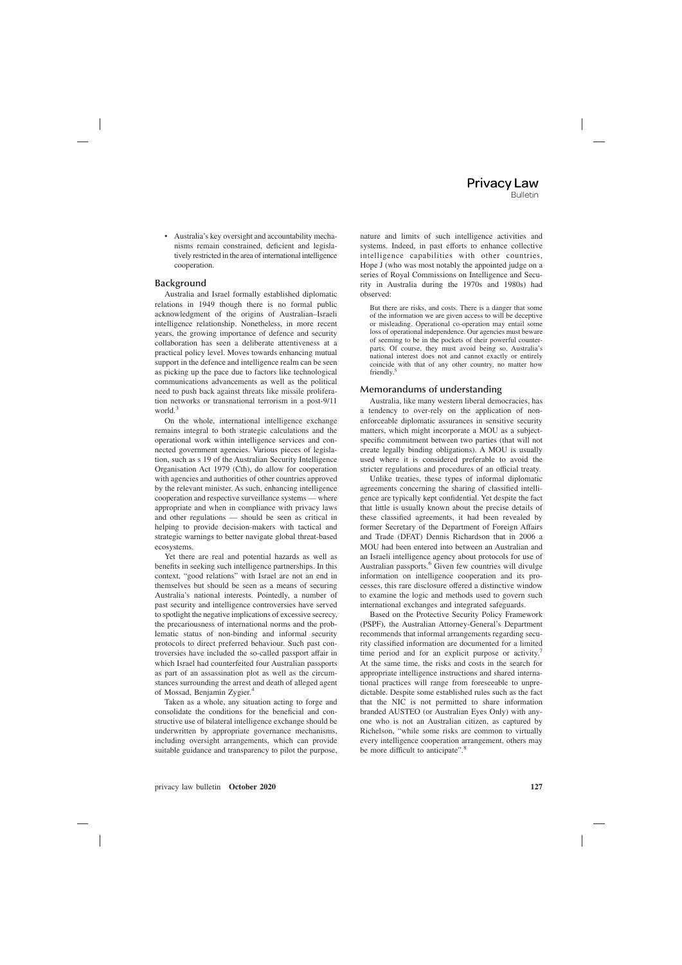• Australia's key oversight and accountability mechanisms remain constrained, deficient and legislatively restricted in the area of international intelligence cooperation.

## **Background**

Australia and Israel formally established diplomatic relations in 1949 though there is no formal public acknowledgment of the origins of Australian–Israeli intelligence relationship. Nonetheless, in more recent years, the growing importance of defence and security collaboration has seen a deliberate attentiveness at a practical policy level. Moves towards enhancing mutual support in the defence and intelligence realm can be seen as picking up the pace due to factors like technological communications advancements as well as the political need to push back against threats like missile proliferation networks or transnational terrorism in a post-9/11 world.<sup>3</sup>

On the whole, international intelligence exchange remains integral to both strategic calculations and the operational work within intelligence services and connected government agencies. Various pieces of legislation, such as s 19 of the Australian Security Intelligence Organisation Act 1979 (Cth), do allow for cooperation with agencies and authorities of other countries approved by the relevant minister. As such, enhancing intelligence cooperation and respective surveillance systems — where appropriate and when in compliance with privacy laws and other regulations — should be seen as critical in helping to provide decision-makers with tactical and strategic warnings to better navigate global threat-based ecosystems.

Yet there are real and potential hazards as well as benefits in seeking such intelligence partnerships. In this context, "good relations" with Israel are not an end in themselves but should be seen as a means of securing Australia's national interests. Pointedly, a number of past security and intelligence controversies have served to spotlight the negative implications of excessive secrecy, the precariousness of international norms and the problematic status of non-binding and informal security protocols to direct preferred behaviour. Such past controversies have included the so-called passport affair in which Israel had counterfeited four Australian passports as part of an assassination plot as well as the circumstances surrounding the arrest and death of alleged agent of Mossad, Benjamin Zygier.<sup>4</sup>

Taken as a whole, any situation acting to forge and consolidate the conditions for the beneficial and constructive use of bilateral intelligence exchange should be underwritten by appropriate governance mechanisms, including oversight arrangements, which can provide suitable guidance and transparency to pilot the purpose, nature and limits of such intelligence activities and systems. Indeed, in past efforts to enhance collective intelligence capabilities with other countries, Hope J (who was most notably the appointed judge on a series of Royal Commissions on Intelligence and Security in Australia during the 1970s and 1980s) had observed:

But there are risks, and costs. There is a danger that some of the information we are given access to will be deceptive or misleading. Operational co-operation may entail some loss of operational independence. Our agencies must beware of seeming to be in the pockets of their powerful counterparts. Of course, they must avoid being so. Australia's national interest does not and cannot exactly or entirely coincide with that of any other country, no matter how friendly.<sup>5</sup>

## **Memorandums of understanding**

Australia, like many western liberal democracies, has a tendency to over-rely on the application of nonenforceable diplomatic assurances in sensitive security matters, which might incorporate a MOU as a subjectspecific commitment between two parties (that will not create legally binding obligations). A MOU is usually used where it is considered preferable to avoid the stricter regulations and procedures of an official treaty.

Unlike treaties, these types of informal diplomatic agreements concerning the sharing of classified intelligence are typically kept confidential. Yet despite the fact that little is usually known about the precise details of these classified agreements, it had been revealed by former Secretary of the Department of Foreign Affairs and Trade (DFAT) Dennis Richardson that in 2006 a MOU had been entered into between an Australian and an Israeli intelligence agency about protocols for use of Australian passports.<sup>6</sup> Given few countries will divulge information on intelligence cooperation and its processes, this rare disclosure offered a distinctive window to examine the logic and methods used to govern such international exchanges and integrated safeguards.

Based on the Protective Security Policy Framework (PSPF), the Australian Attorney-General's Department recommends that informal arrangements regarding security classified information are documented for a limited time period and for an explicit purpose or activity.<sup>7</sup> At the same time, the risks and costs in the search for appropriate intelligence instructions and shared international practices will range from foreseeable to unpredictable. Despite some established rules such as the fact that the NIC is not permitted to share information branded AUSTEO (or Australian Eyes Only) with anyone who is not an Australian citizen, as captured by Richelson, "while some risks are common to virtually every intelligence cooperation arrangement, others may be more difficult to anticipate".<sup>8</sup>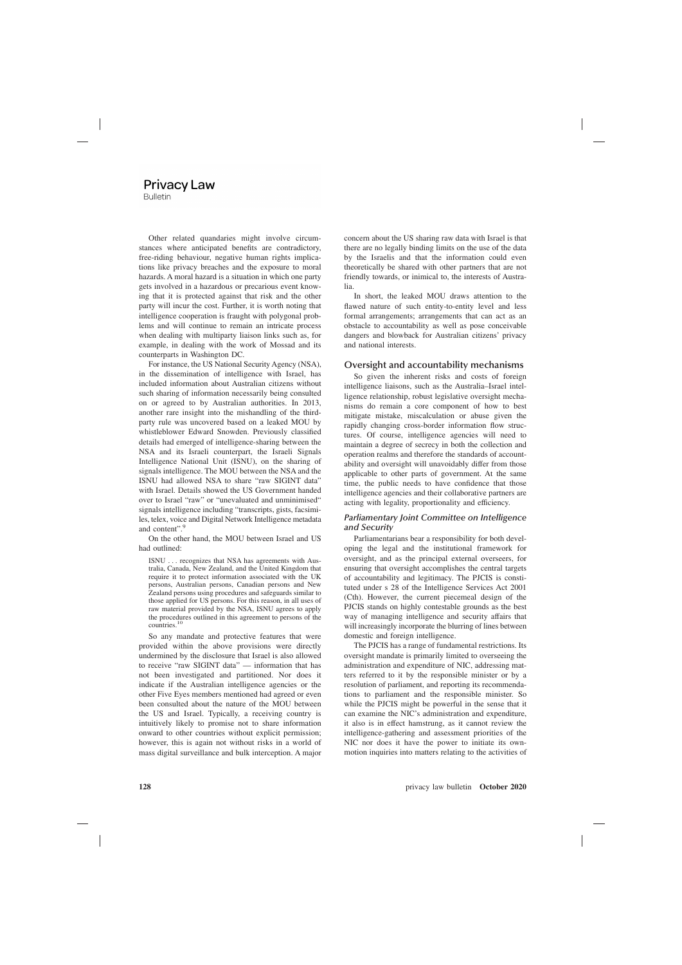Other related quandaries might involve circumstances where anticipated benefits are contradictory, free-riding behaviour, negative human rights implications like privacy breaches and the exposure to moral hazards. A moral hazard is a situation in which one party gets involved in a hazardous or precarious event knowing that it is protected against that risk and the other party will incur the cost. Further, it is worth noting that intelligence cooperation is fraught with polygonal problems and will continue to remain an intricate process when dealing with multiparty liaison links such as, for example, in dealing with the work of Mossad and its counterparts in Washington DC.

For instance, the US National Security Agency (NSA), in the dissemination of intelligence with Israel, has included information about Australian citizens without such sharing of information necessarily being consulted on or agreed to by Australian authorities. In 2013, another rare insight into the mishandling of the thirdparty rule was uncovered based on a leaked MOU by whistleblower Edward Snowden. Previously classified details had emerged of intelligence-sharing between the NSA and its Israeli counterpart, the Israeli Signals Intelligence National Unit (ISNU), on the sharing of signals intelligence. The MOU between the NSA and the ISNU had allowed NSA to share "raw SIGINT data" with Israel. Details showed the US Government handed over to Israel "raw" or "unevaluated and unminimised" signals intelligence including "transcripts, gists, facsimiles, telex, voice and Digital Network Intelligence metadata and content".<sup>9</sup>

On the other hand, the MOU between Israel and US had outlined:

ISNU . . . recognizes that NSA has agreements with Australia, Canada, New Zealand, and the United Kingdom that require it to protect information associated with the UK persons, Australian persons, Canadian persons and New Zealand persons using procedures and safeguards similar to those applied for US persons. For this reason, in all uses of raw material provided by the NSA, ISNU agrees to apply the procedures outlined in this agreement to persons of the countries.<sup>10</sup>

So any mandate and protective features that were provided within the above provisions were directly undermined by the disclosure that Israel is also allowed to receive "raw SIGINT data" — information that has not been investigated and partitioned. Nor does it indicate if the Australian intelligence agencies or the other Five Eyes members mentioned had agreed or even been consulted about the nature of the MOU between the US and Israel. Typically, a receiving country is intuitively likely to promise not to share information onward to other countries without explicit permission; however, this is again not without risks in a world of mass digital surveillance and bulk interception. A major

concern about the US sharing raw data with Israel is that there are no legally binding limits on the use of the data by the Israelis and that the information could even theoretically be shared with other partners that are not friendly towards, or inimical to, the interests of Australia.

In short, the leaked MOU draws attention to the flawed nature of such entity-to-entity level and less formal arrangements; arrangements that can act as an obstacle to accountability as well as pose conceivable dangers and blowback for Australian citizens' privacy and national interests.

#### **Oversight and accountability mechanisms**

So given the inherent risks and costs of foreign intelligence liaisons, such as the Australia–Israel intelligence relationship, robust legislative oversight mechanisms do remain a core component of how to best mitigate mistake, miscalculation or abuse given the rapidly changing cross-border information flow structures. Of course, intelligence agencies will need to maintain a degree of secrecy in both the collection and operation realms and therefore the standards of accountability and oversight will unavoidably differ from those applicable to other parts of government. At the same time, the public needs to have confidence that those intelligence agencies and their collaborative partners are acting with legality, proportionality and efficiency.

#### *Parliamentary Joint Committee on Intelligence and Security*

Parliamentarians bear a responsibility for both developing the legal and the institutional framework for oversight, and as the principal external overseers, for ensuring that oversight accomplishes the central targets of accountability and legitimacy. The PJCIS is constituted under s 28 of the Intelligence Services Act 2001 (Cth). However, the current piecemeal design of the PJCIS stands on highly contestable grounds as the best way of managing intelligence and security affairs that will increasingly incorporate the blurring of lines between domestic and foreign intelligence.

The PJCIS has a range of fundamental restrictions. Its oversight mandate is primarily limited to overseeing the administration and expenditure of NIC, addressing matters referred to it by the responsible minister or by a resolution of parliament, and reporting its recommendations to parliament and the responsible minister. So while the PJCIS might be powerful in the sense that it can examine the NIC's administration and expenditure, it also is in effect hamstrung, as it cannot review the intelligence-gathering and assessment priorities of the NIC nor does it have the power to initiate its ownmotion inquiries into matters relating to the activities of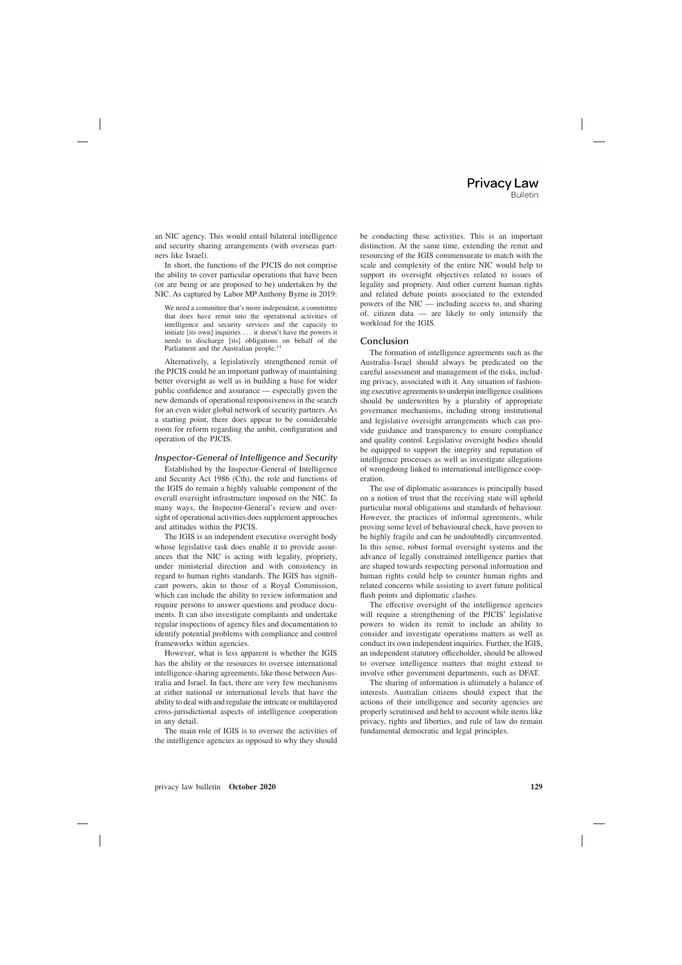an NIC agency. This would entail bilateral intelligence and security sharing arrangements (with overseas partners like Israel).

In short, the functions of the PJCIS do not comprise the ability to cover particular operations that have been (or are being or are proposed to be) undertaken by the NIC. As captured by Labor MP Anthony Byrne in 2019:

We need a committee that's more independent, a committee that does have remit into the operational activities of intelligence and security services and the capacity to initiate [its own] inquiries . . . it doesn't have the powers it needs to discharge [its] obligations on behalf of the Parliament and the Australian people.<sup>11</sup>

Alternatively, a legislatively strengthened remit of the PJCIS could be an important pathway of maintaining better oversight as well as in building a base for wider public confidence and assurance — especially given the new demands of operational responsiveness in the search for an even wider global network of security partners. As a starting point, there does appear to be considerable room for reform regarding the ambit, configuration and operation of the PJCIS.

#### *Inspector-General of Intelligence and Security*

Established by the Inspector-General of Intelligence and Security Act 1986 (Cth), the role and functions of the IGIS do remain a highly valuable component of the overall oversight infrastructure imposed on the NIC. In many ways, the Inspector-General's review and oversight of operational activities does supplement approaches and attitudes within the PJCIS.

The IGIS is an independent executive oversight body whose legislative task does enable it to provide assurances that the NIC is acting with legality, propriety, under ministerial direction and with consistency in regard to human rights standards. The IGIS has significant powers, akin to those of a Royal Commission, which can include the ability to review information and require persons to answer questions and produce documents. It can also investigate complaints and undertake regular inspections of agency files and documentation to identify potential problems with compliance and control frameworks within agencies.

However, what is less apparent is whether the IGIS has the ability or the resources to oversee international intelligence-sharing agreements, like those between Australia and Israel. In fact, there are very few mechanisms at either national or international levels that have the ability to deal with and regulate the intricate or multilayered cross-jurisdictional aspects of intelligence cooperation in any detail.

The main role of IGIS is to oversee the activities of the intelligence agencies as opposed to why they should be conducting these activities. This is an important distinction. At the same time, extending the remit and resourcing of the IGIS commensurate to match with the scale and complexity of the entire NIC would help to support its oversight objectives related to issues of legality and propriety. And other current human rights and related debate points associated to the extended powers of the NIC — including access to, and sharing of, citizen data — are likely to only intensify the workload for the IGIS.

#### **Conclusion**

The formation of intelligence agreements such as the Australia–Israel should always be predicated on the careful assessment and management of the risks, including privacy, associated with it. Any situation of fashioning executive agreements to underpin intelligence coalitions should be underwritten by a plurality of appropriate governance mechanisms, including strong institutional and legislative oversight arrangements which can provide guidance and transparency to ensure compliance and quality control. Legislative oversight bodies should be equipped to support the integrity and reputation of intelligence processes as well as investigate allegations of wrongdoing linked to international intelligence cooperation.

The use of diplomatic assurances is principally based on a notion of trust that the receiving state will uphold particular moral obligations and standards of behaviour. However, the practices of informal agreements, while proving some level of behavioural check, have proven to be highly fragile and can be undoubtedly circumvented. In this sense, robust formal oversight systems and the advance of legally constrained intelligence parties that are shaped towards respecting personal information and human rights could help to counter human rights and related concerns while assisting to avert future political flash points and diplomatic clashes.

The effective oversight of the intelligence agencies will require a strengthening of the PJCIS' legislative powers to widen its remit to include an ability to consider and investigate operations matters as well as conduct its own independent inquiries. Further, the IGIS, an independent statutory officeholder, should be allowed to oversee intelligence matters that might extend to involve other government departments, such as DFAT.

The sharing of information is ultimately a balance of interests. Australian citizens should expect that the actions of their intelligence and security agencies are properly scrutinised and held to account while items like privacy, rights and liberties, and rule of law do remain fundamental democratic and legal principles.